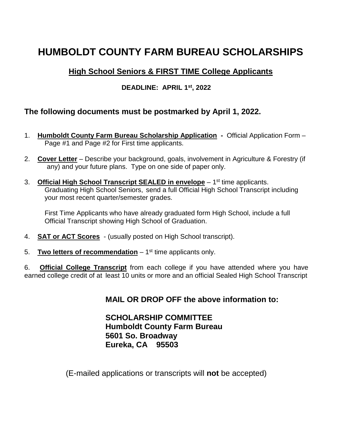# **HUMBOLDT COUNTY FARM BUREAU SCHOLARSHIPS**

## **High School Seniors & FIRST TIME College Applicants**

#### **DEADLINE: APRIL 1st, 2022**

#### **The following documents must be postmarked by April 1, 2022.**

- 1. **Humboldt County Farm Bureau Scholarship Application** Official Application Form Page #1 and Page #2 for First time applicants.
- 2. **Cover Letter** Describe your background, goals, involvement in Agriculture & Forestry (if any) and your future plans. Type on one side of paper only.
- 3. **Official High School Transcript SEALED in envelope** 1st time applicants. Graduating High School Seniors, send a full Official High School Transcript including your most recent quarter/semester grades.

First Time Applicants who have already graduated form High School, include a full Official Transcript showing High School of Graduation.

- 4. **SAT or ACT Scores** (usually posted on High School transcript).
- 5. **Two letters of recommendation**  $-1<sup>st</sup>$  time applicants only.

6. **Official College Transcript** from each college if you have attended where you have earned college credit of at least 10 units or more and an official Sealed High School Transcript

### **MAIL OR DROP OFF the above information to:**

#### **SCHOLARSHIP COMMITTEE Humboldt County Farm Bureau 5601 So. Broadway Eureka, CA 95503**

(E-mailed applications or transcripts will **not** be accepted)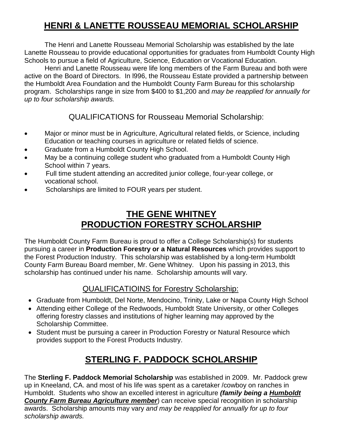# **HENRI & LANETTE ROUSSEAU MEMORIAL SCHOLARSHIP**

The Henri and Lanette Rousseau Memorial Scholarship was established by the late Lanette Rousseau to provide educational opportunities for graduates from Humboldt County High Schools to pursue a field of Agriculture, Science, Education or Vocational Education.

Henri and Lanette Rousseau were life long members of the Farm Bureau and both were active on the Board of Directors. In l996, the Rousseau Estate provided a partnership between the Humboldt Area Foundation and the Humboldt County Farm Bureau for this scholarship program. Scholarships range in size from \$400 to \$1,200 and *may be reapplied for annually for up to four scholarship awards.*

QUALIFICATIONS for Rousseau Memorial Scholarship:

- Major or minor must be in Agriculture, Agricultural related fields, or Science, including Education or teaching courses in agriculture or related fields of science.
- Graduate from a Humboldt County High School.
- May be a continuing college student who graduated from a Humboldt County High School within 7 years.
- Full time student attending an accredited junior college, four-year college, or vocational school.
- Scholarships are limited to FOUR years per student.

# **THE GENE WHITNEY PRODUCTION FORESTRY SCHOLARSHIP**

The Humboldt County Farm Bureau is proud to offer a College Scholarship(s) for students pursuing a career in **Production Forestry or a Natural Resources** which provides support to the Forest Production Industry. This scholarship was established by a long-term Humboldt County Farm Bureau Board member, Mr. Gene Whitney. Upon his passing in 2013, this scholarship has continued under his name. Scholarship amounts will vary.

### QUALIFICATIOINS for Forestry Scholarship:

- Graduate from Humboldt, Del Norte, Mendocino, Trinity, Lake or Napa County High School
- Attending either College of the Redwoods, Humboldt State University, or other Colleges offering forestry classes and institutions of higher learning may approved by the Scholarship Committee.
- Student must be pursuing a career in Production Forestry or Natural Resource which provides support to the Forest Products Industry.

# **STERLING F. PADDOCK SCHOLARSHIP**

The **Sterling F. Paddock Memorial Scholarship** was established in 2009. Mr. Paddock grew up in Kneeland, CA. and most of his life was spent as a caretaker /cowboy on ranches in Humboldt. Students who show an excelled interest in agriculture *(family being a Humboldt County Farm Bureau Agriculture member*) can receive special recognition in scholarship awards. Scholarship amounts may vary *and may be reapplied for annually for up to four scholarship awards.*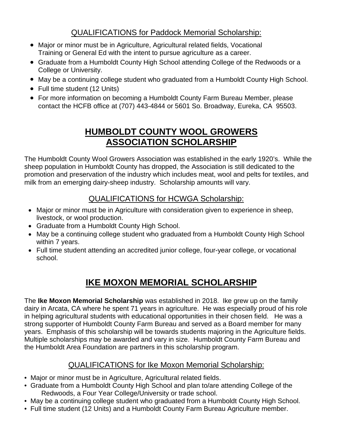## QUALIFICATIONS for Paddock Memorial Scholarship:

- Major or minor must be in Agriculture, Agricultural related fields, Vocational Training or General Ed with the intent to pursue agriculture as a career.
- Graduate from a Humboldt County High School attending College of the Redwoods or a College or University.
- May be a continuing college student who graduated from a Humboldt County High School.
- Full time student (12 Units)
- For more information on becoming a Humboldt County Farm Bureau Member, please contact the HCFB office at (707) 443-4844 or 5601 So. Broadway, Eureka, CA 95503.

# **HUMBOLDT COUNTY WOOL GROWERS ASSOCIATION SCHOLARSHIP**

The Humboldt County Wool Growers Association was established in the early 1920's. While the sheep population in Humboldt County has dropped, the Association is still dedicated to the promotion and preservation of the industry which includes meat, wool and pelts for textiles, and milk from an emerging dairy-sheep industry. Scholarship amounts will vary.

# QUALIFICATIONS for HCWGA Scholarship:

- Major or minor must be in Agriculture with consideration given to experience in sheep, livestock, or wool production.
- Graduate from a Humboldt County High School.
- May be a continuing college student who graduated from a Humboldt County High School within 7 years.
- Full time student attending an accredited junior college, four-year college, or vocational school.

# **IKE MOXON MEMORIAL SCHOLARSHIP**

The **Ike Moxon Memorial Scholarship** was established in 2018. Ike grew up on the family dairy in Arcata, CA where he spent 71 years in agriculture. He was especially proud of his role in helping agricultural students with educational opportunities in their chosen field. He was a strong supporter of Humboldt County Farm Bureau and served as a Board member for many years. Emphasis of this scholarship will be towards students majoring in the Agriculture fields. Multiple scholarships may be awarded and vary in size. Humboldt County Farm Bureau and the Humboldt Area Foundation are partners in this scholarship program.

## QUALIFICATIONS for Ike Moxon Memorial Scholarship:

- Major or minor must be in Agriculture, Agricultural related fields.
- Graduate from a Humboldt County High School and plan to/are attending College of the Redwoods, a Four Year College/University or trade school.
- May be a continuing college student who graduated from a Humboldt County High School.
- Full time student (12 Units) and a Humboldt County Farm Bureau Agriculture member.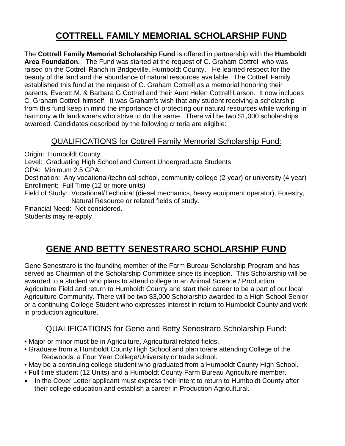# **COTTRELL FAMILY MEMORIAL SCHOLARSHIP FUND**

The **Cottrell Family Memorial Scholarship Fund** is offered in partnership with the **Humboldt Area Foundation.** The Fund was started at the request of C. Graham Cottrell who was raised on the Cottrell Ranch in Bridgeville, Humboldt County. He learned respect for the beauty of the land and the abundance of natural resources available. The Cottrell Family established this fund at the request of C. Graham Cottrell as a memorial honoring their parents, Everett M. & Barbara G Cottrell and their Aunt Helen Cottrell Larson. It now includes C. Graham Cottrell himself. It was Graham's wish that any student receiving a scholarship from this fund keep in mind the importance of protecting our natural resources while working in harmony with landowners who strive to do the same. There will be two \$1,000 scholarships awarded. Candidates described by the following criteria are eligible:

## QUALIFICATIONS for Cottrell Family Memorial Scholarship Fund:

Origin: Humboldt County Level: Graduating High School and Current Undergraduate Students GPA: Minimum 2.5 GPA Destination: Any vocational/technical school, community college (2-year) or university (4 year) Enrollment: Full Time (12 or more units) Field of Study: Vocational/Technical (diesel mechanics, heavy equipment operator), Forestry, Natural Resource or related fields of study. Financial Need: Not considered. Students may re-apply.

# **GENE AND BETTY SENESTRARO SCHOLARSHIP FUND**

Gene Senestraro is the founding member of the Farm Bureau Scholarship Program and has served as Chairman of the Scholarship Committee since its inception. This Scholarship will be awarded to a student who plans to attend college in an Animal Science / Production Agriculture Field and return to Humboldt County and start their career to be a part of our local Agriculture Community. There will be two \$3,000 Scholarship awarded to a High School Senior or a continuing College Student who expresses interest in return to Humboldt County and work in production agriculture.

### QUALIFICATIONS for Gene and Betty Senestraro Scholarship Fund:

- Major or minor must be in Agriculture, Agricultural related fields.
- Graduate from a Humboldt County High School and plan to/are attending College of the Redwoods, a Four Year College/University or trade school.
- May be a continuing college student who graduated from a Humboldt County High School.
- Full time student (12 Units) and a Humboldt County Farm Bureau Agriculture member.
- In the Cover Letter applicant must express their intent to return to Humboldt County after their college education and establish a career in Production Agricultural.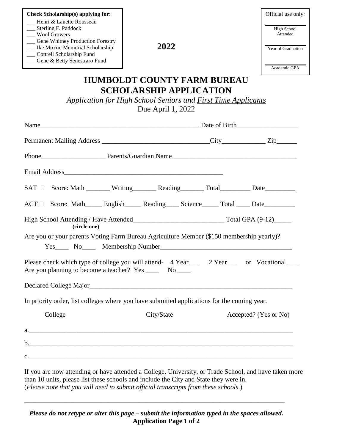| Check Scholarship(s) applying for: |  |  |  |  |
|------------------------------------|--|--|--|--|
| Henri & Lanette Rousseau           |  |  |  |  |
| Sterling F. Paddock                |  |  |  |  |
| <b>Wool Growers</b>                |  |  |  |  |
| Gene Whitney Production Forestry   |  |  |  |  |
| Ike Moxon Memorial Scholarship     |  |  |  |  |
| Cottrell Scholarship Fund          |  |  |  |  |
| Gene & Betty Senestraro Fund       |  |  |  |  |
|                                    |  |  |  |  |

**2022**

| Official use only:      |
|-------------------------|
| High School<br>Attended |
|                         |
| Year of Graduation      |
|                         |
| Academic GPA            |
|                         |

## **HUMBOLDT COUNTY FARM BUREAU SCHOLARSHIP APPLICATION**

*Application for High School Seniors and First Time Applicants* Due April 1, 2022

| SAT □ Score: Math _______ Writing _______ Reading _______ Total ________ Date _________     |  |            |  |                                                                                                                                                                                                                               |  |  |  |
|---------------------------------------------------------------------------------------------|--|------------|--|-------------------------------------------------------------------------------------------------------------------------------------------------------------------------------------------------------------------------------|--|--|--|
| ACT Score: Math____ English____ Reading___ Science____ Total ___ Date________               |  |            |  |                                                                                                                                                                                                                               |  |  |  |
| (circle one)                                                                                |  |            |  |                                                                                                                                                                                                                               |  |  |  |
| Are you or your parents Voting Farm Bureau Agriculture Member (\$150 membership yearly)?    |  |            |  |                                                                                                                                                                                                                               |  |  |  |
|                                                                                             |  |            |  |                                                                                                                                                                                                                               |  |  |  |
| Are you planning to become a teacher? Yes ________ No ______                                |  |            |  |                                                                                                                                                                                                                               |  |  |  |
|                                                                                             |  |            |  |                                                                                                                                                                                                                               |  |  |  |
| In priority order, list colleges where you have submitted applications for the coming year. |  |            |  |                                                                                                                                                                                                                               |  |  |  |
| College                                                                                     |  | City/State |  | Accepted? (Yes or No)                                                                                                                                                                                                         |  |  |  |
|                                                                                             |  |            |  | the control of the control of the control of the control of the control of the control of the control of the control of the control of the control of the control of the control of the control of the control of the control |  |  |  |
|                                                                                             |  |            |  |                                                                                                                                                                                                                               |  |  |  |
| c.                                                                                          |  |            |  |                                                                                                                                                                                                                               |  |  |  |

If you are now attending or have attended a College, University, or Trade School, and have taken more than 10 units, please list these schools and include the City and State they were in. (*Please note that you will need to submit official transcripts from these schools*.)

#### *Please do not retype or alter this page – submit the information typed in the spaces allowed.* **Application Page 1 of 2**

\_\_\_\_\_\_\_\_\_\_\_\_\_\_\_\_\_\_\_\_\_\_\_\_\_\_\_\_\_\_\_\_\_\_\_\_\_\_\_\_\_\_\_\_\_\_\_\_\_\_\_\_\_\_\_\_\_\_\_\_\_\_\_\_\_\_\_\_\_\_\_\_\_\_\_\_\_